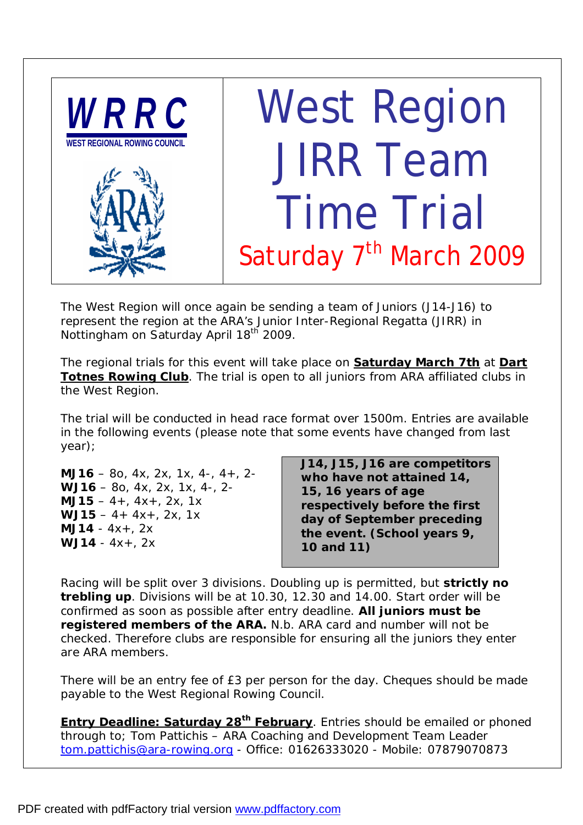

The West Region will once again be sending a team of Juniors (J14-J16) to represent the region at the ARA's Junior Inter-Regional Regatta (JIRR) in Nottingham on Saturday April 18<sup>th</sup> 2009.

The regional trials for this event will take place on **Saturday March 7th** at **Dart Totnes Rowing Club**. The trial is open to all juniors from ARA affiliated clubs in the West Region.

The trial will be conducted in head race format over 1500m. Entries are available in the following events *(please note that some events have changed from last year)*;

**MJ16** – 8o, 4x, 2x, 1x, 4-, 4+, 2- **WJ16** – 8o, 4x, 2x, 1x, 4-, 2- **MJ15** – 4+, 4x+, 2x, 1x **WJ15** – 4+ 4x+, 2x, 1x **MJ14** - 4x+, 2x **WJ14** - 4x+, 2x

**J14, J15, J16 are competitors who have not attained 14, 15, 16 years of age respectively before the first day of September preceding the event. (School years 9, 10 and 11)** 

Racing will be split over 3 divisions. Doubling up is permitted, but **strictly no trebling up**. Divisions will be at 10.30, 12.30 and 14.00. Start order will be confirmed as soon as possible after entry deadline. **All juniors must be registered members of the ARA.** *N.b. ARA card and number will not be checked. Therefore clubs are responsible for ensuring all the juniors they enter are ARA members.* 

There will be an entry fee of £3 per person for the day. Cheques should be made payable to the West Regional Rowing Council.

**Entry Deadline: Saturday 28th February**. Entries should be emailed or phoned through to; Tom Pattichis – ARA Coaching and Development Team Leader [tom.pattichis@ara-rowing.org](mailto:tom.pattichis@ara-rowing.org) - Office: 01626333020 - Mobile: 07879070873